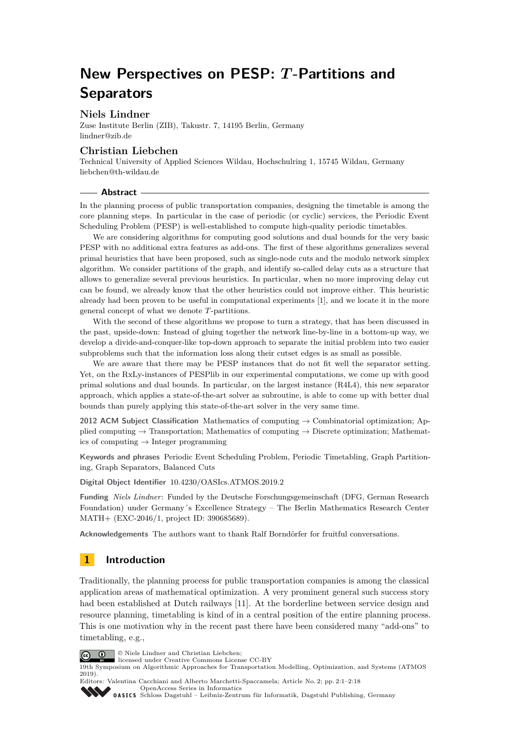# **New Perspectives on PESP:** *T* **-Partitions and Separators**

### **Niels Lindner**

Zuse Institute Berlin (ZIB), Takustr. 7, 14195 Berlin, Germany [lindner@zib.de](mailto:lindner@zib.de)

### **Christian Liebchen**

Technical University of Applied Sciences Wildau, Hochschulring 1, 15745 Wildau, Germany [liebchen@th-wildau.de](mailto:liebchen@th-wildau.de)

#### **Abstract**

In the planning process of public transportation companies, designing the timetable is among the core planning steps. In particular in the case of periodic (or cyclic) services, the Periodic Event Scheduling Problem (PESP) is well-established to compute high-quality periodic timetables.

We are considering algorithms for computing good solutions and dual bounds for the very basic PESP with no additional extra features as add-ons. The first of these algorithms generalizes several primal heuristics that have been proposed, such as single-node cuts and the modulo network simplex algorithm. We consider partitions of the graph, and identify so-called delay cuts as a structure that allows to generalize several previous heuristics. In particular, when no more improving delay cut can be found, we already know that the other heuristics could not improve either. This heuristic already had been proven to be useful in computational experiments [\[1\]](#page-11-0), and we locate it in the more general concept of what we denote *T*-partitions.

With the second of these algorithms we propose to turn a strategy, that has been discussed in the past, upside-down: Instead of gluing together the network line-by-line in a bottom-up way, we develop a divide-and-conquer-like top-down approach to separate the initial problem into two easier subproblems such that the information loss along their cutset edges is as small as possible.

We are aware that there may be PESP instances that do not fit well the separator setting. Yet, on the RxLy-instances of PESPlib in our experimental computations, we come up with good primal solutions and dual bounds. In particular, on the largest instance (R4L4), this new separator approach, which applies a state-of-the-art solver as subroutine, is able to come up with better dual bounds than purely applying this state-of-the-art solver in the very same time.

**2012 ACM Subject Classification** Mathematics of computing → Combinatorial optimization; Applied computing  $\rightarrow$  Transportation; Mathematics of computing  $\rightarrow$  Discrete optimization; Mathematics of computing  $\rightarrow$  Integer programming

**Keywords and phrases** Periodic Event Scheduling Problem, Periodic Timetabling, Graph Partitioning, Graph Separators, Balanced Cuts

**Digital Object Identifier** [10.4230/OASIcs.ATMOS.2019.2](https://doi.org/10.4230/OASIcs.ATMOS.2019.2)

**Funding** *Niels Lindner*: Funded by the Deutsche Forschungsgemeinschaft (DFG, German Research Foundation) under Germany´s Excellence Strategy – The Berlin Mathematics Research Center MATH+ (EXC-2046/1, project ID: 390685689).

**Acknowledgements** The authors want to thank Ralf Borndörfer for fruitful conversations.

# **1 Introduction**

Traditionally, the planning process for public transportation companies is among the classical application areas of mathematical optimization. A very prominent general such success story had been established at Dutch railways [\[11\]](#page-12-0). At the borderline between service design and resource planning, timetabling is kind of in a central position of the entire planning process. This is one motivation why in the recent past there have been considered many "add-ons" to timetabling, e.g.,



© Niels Lindner and Christian Liebchen;

licensed under Creative Commons License CC-BY

19th Symposium on Algorithmic Approaches for Transportation Modelling, Optimization, and Systems (ATMOS 2019).

Editors: Valentina Cacchiani and Alberto Marchetti-Spaccamela; Article No. 2; pp. 2:1–2[:18](#page-17-0) [OpenAccess Series in Informatics](https://www.dagstuhl.de/oasics/)

OASICS [Schloss Dagstuhl – Leibniz-Zentrum für Informatik, Dagstuhl Publishing, Germany](https://www.dagstuhl.de)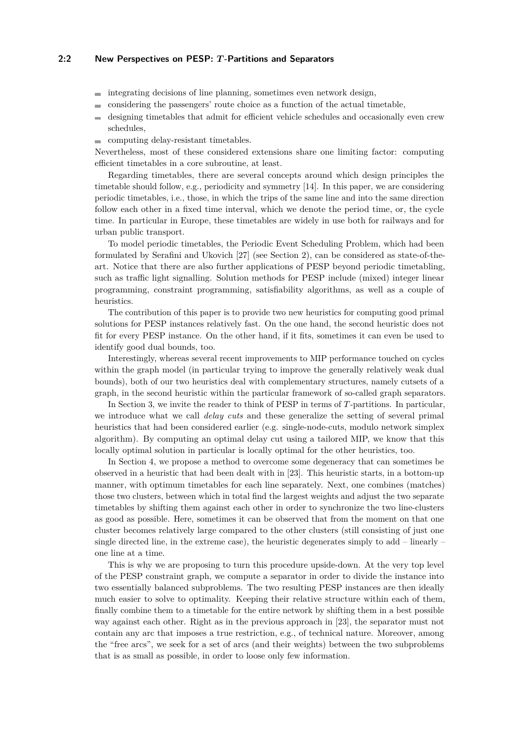#### **2:2 New Perspectives on PESP:** *T* **-Partitions and Separators**

- $\blacksquare$  integrating decisions of line planning, sometimes even network design,
- considering the passengers' route choice as a function of the actual timetable,  $\sim$
- designing timetables that admit for efficient vehicle schedules and occasionally even crew schedules,

computing delay-resistant timetables.

Nevertheless, most of these considered extensions share one limiting factor: computing efficient timetables in a core subroutine, at least.

Regarding timetables, there are several concepts around which design principles the timetable should follow, e.g., periodicity and symmetry [\[14\]](#page-12-1). In this paper, we are considering periodic timetables, i.e., those, in which the trips of the same line and into the same direction follow each other in a fixed time interval, which we denote the period time, or, the cycle time. In particular in Europe, these timetables are widely in use both for railways and for urban public transport.

To model periodic timetables, the Periodic Event Scheduling Problem, which had been formulated by Serafini and Ukovich [\[27\]](#page-13-0) (see Section [2\)](#page-2-0), can be considered as state-of-theart. Notice that there are also further applications of PESP beyond periodic timetabling, such as traffic light signalling. Solution methods for PESP include (mixed) integer linear programming, constraint programming, satisfiability algorithms, as well as a couple of heuristics.

The contribution of this paper is to provide two new heuristics for computing good primal solutions for PESP instances relatively fast. On the one hand, the second heuristic does not fit for every PESP instance. On the other hand, if it fits, sometimes it can even be used to identify good dual bounds, too.

Interestingly, whereas several recent improvements to MIP performance touched on cycles within the graph model (in particular trying to improve the generally relatively weak dual bounds), both of our two heuristics deal with complementary structures, namely cutsets of a graph, in the second heuristic within the particular framework of so-called graph separators.

In Section [3,](#page-3-0) we invite the reader to think of PESP in terms of *T*-partitions. In particular, we introduce what we call *delay cuts* and these generalize the setting of several primal heuristics that had been considered earlier (e.g. single-node-cuts, modulo network simplex algorithm). By computing an optimal delay cut using a tailored MIP, we know that this locally optimal solution in particular is locally optimal for the other heuristics, too.

In Section [4,](#page-6-0) we propose a method to overcome some degeneracy that can sometimes be observed in a heuristic that had been dealt with in [\[23\]](#page-13-1). This heuristic starts, in a bottom-up manner, with optimum timetables for each line separately. Next, one combines (matches) those two clusters, between which in total find the largest weights and adjust the two separate timetables by shifting them against each other in order to synchronize the two line-clusters as good as possible. Here, sometimes it can be observed that from the moment on that one cluster becomes relatively large compared to the other clusters (still consisting of just one single directed line, in the extreme case), the heuristic degenerates simply to add – linearly – one line at a time.

This is why we are proposing to turn this procedure upside-down. At the very top level of the PESP constraint graph, we compute a separator in order to divide the instance into two essentially balanced subproblems. The two resulting PESP instances are then ideally much easier to solve to optimality. Keeping their relative structure within each of them, finally combine them to a timetable for the entire network by shifting them in a best possible way against each other. Right as in the previous approach in [\[23\]](#page-13-1), the separator must not contain any arc that imposes a true restriction, e.g., of technical nature. Moreover, among the "free arcs", we seek for a set of arcs (and their weights) between the two subproblems that is as small as possible, in order to loose only few information.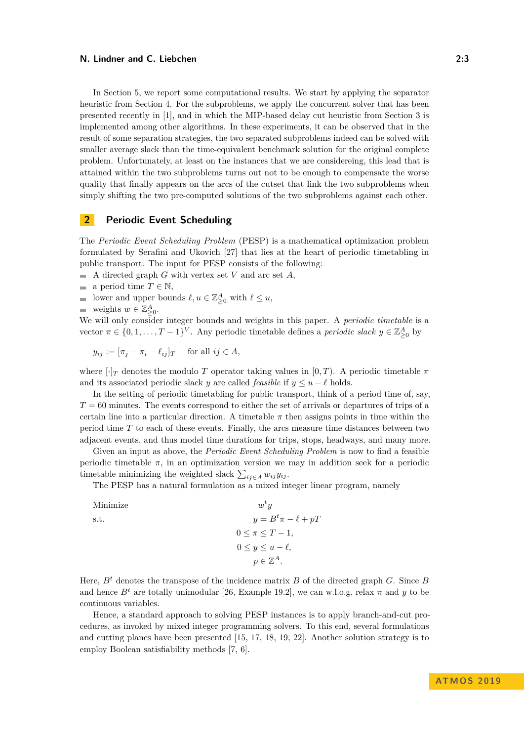In Section [5,](#page-9-0) we report some computational results. We start by applying the separator heuristic from Section [4.](#page-6-0) For the subproblems, we apply the concurrent solver that has been presented recently in [\[1\]](#page-11-0), and in which the MIP-based delay cut heuristic from Section [3](#page-3-0) is implemented among other algorithms. In these experiments, it can be observed that in the result of some separation strategies, the two separated subproblems indeed can be solved with smaller average slack than the time-equivalent benchmark solution for the original complete problem. Unfortunately, at least on the instances that we are considereing, this lead that is attained within the two subproblems turns out not to be enough to compensate the worse quality that finally appears on the arcs of the cutset that link the two subproblems when simply shifting the two pre-computed solutions of the two subproblems against each other.

# <span id="page-2-0"></span>**2 Periodic Event Scheduling**

The *Periodic Event Scheduling Problem* (PESP) is a mathematical optimization problem formulated by Serafini and Ukovich [\[27\]](#page-13-0) that lies at the heart of periodic timetabling in public transport. The input for PESP consists of the following:

 $\blacksquare$  A directed graph *G* with vertex set *V* and arc set *A*,

- a period time  $T \in \mathbb{N}$ ,
- lower and upper bounds  $\ell, u \in \mathbb{Z}_{\geq 0}^A$  with  $\ell \leq u$ ,
- weights  $w \in \mathbb{Z}_{\geq 0}^A$ .

We will only consider integer bounds and weights in this paper. A *periodic timetable* is a vector  $\pi \in \{0, 1, \ldots, T-1\}^V$ . Any periodic timetable defines a *periodic slack*  $y \in \mathbb{Z}_{\geq 0}^A$  by

$$
y_{ij} := [\pi_j - \pi_i - \ell_{ij}]_T \quad \text{ for all } ij \in A,
$$

where  $\lceil \cdot \rceil_T$  denotes the modulo *T* operator taking values in [0, *T*). A periodic timetable  $\pi$ and its associated periodic slack *y* are called *feasible* if  $y \leq u - \ell$  holds.

In the setting of periodic timetabling for public transport, think of a period time of, say, *T* = 60 minutes. The events correspond to either the set of arrivals or departures of trips of a certain line into a particular direction. A timetable  $\pi$  then assigns points in time within the period time *T* to each of these events. Finally, the arcs measure time distances between two adjacent events, and thus model time durations for trips, stops, headways, and many more.

Given an input as above, the *Periodic Event Scheduling Problem* is now to find a feasible periodic timetable  $\pi$ , in an optimization version we may in addition seek for a periodic timetable minimizing the weighted slack  $\sum_{ij \in A} w_{ij} y_{ij}$ .

The PESP has a natural formulation as a mixed integer linear program, namely

| $w^t u$                   |
|---------------------------|
| $y = B^t \pi - \ell + pT$ |
| $0\leq \pi\leq T-1$ ,     |
| $0 \leq y \leq u - \ell,$ |
| $p \in \mathbb{Z}^A$ .    |
|                           |

Here, *B<sup>t</sup>* denotes the transpose of the incidence matrix *B* of the directed graph *G*. Since *B* and hence  $B^t$  are totally unimodular [\[26,](#page-13-2) Example 19.2], we can w.l.o.g. relax  $\pi$  and  $y$  to be continuous variables.

Hence, a standard approach to solving PESP instances is to apply branch-and-cut procedures, as invoked by mixed integer programming solvers. To this end, several formulations and cutting planes have been presented [\[15,](#page-12-2) [17,](#page-12-3) [18,](#page-12-4) [19,](#page-12-5) [22\]](#page-13-3). Another solution strategy is to employ Boolean satisfiability methods [\[7,](#page-12-6) [6\]](#page-12-7).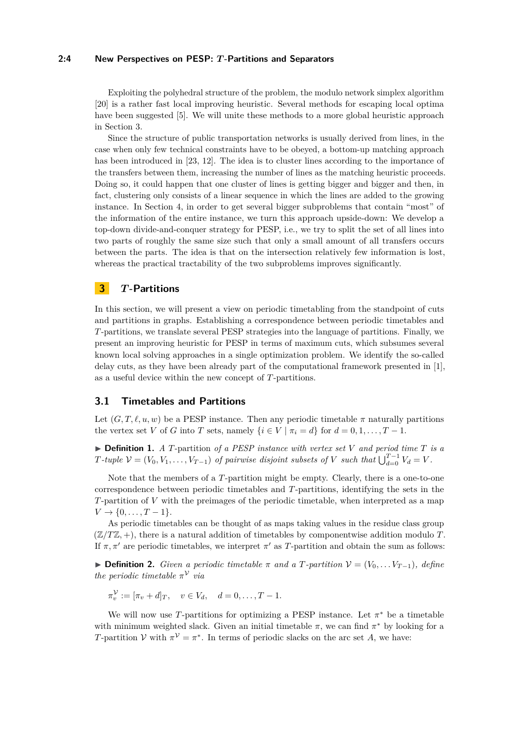#### **2:4 New Perspectives on PESP:** *T* **-Partitions and Separators**

Exploiting the polyhedral structure of the problem, the modulo network simplex algorithm [\[20\]](#page-12-8) is a rather fast local improving heuristic. Several methods for escaping local optima have been suggested [\[5\]](#page-12-9). We will unite these methods to a more global heuristic approach in Section [3.](#page-3-0)

Since the structure of public transportation networks is usually derived from lines, in the case when only few technical constraints have to be obeyed, a bottom-up matching approach has been introduced in [\[23,](#page-13-1) [12\]](#page-12-10). The idea is to cluster lines according to the importance of the transfers between them, increasing the number of lines as the matching heuristic proceeds. Doing so, it could happen that one cluster of lines is getting bigger and bigger and then, in fact, clustering only consists of a linear sequence in which the lines are added to the growing instance. In Section [4,](#page-6-0) in order to get several bigger subproblems that contain "most" of the information of the entire instance, we turn this approach upside-down: We develop a top-down divide-and-conquer strategy for PESP, i.e., we try to split the set of all lines into two parts of roughly the same size such that only a small amount of all transfers occurs between the parts. The idea is that on the intersection relatively few information is lost, whereas the practical tractability of the two subproblems improves significantly.

# <span id="page-3-0"></span>**3** *T* **-Partitions**

In this section, we will present a view on periodic timetabling from the standpoint of cuts and partitions in graphs. Establishing a correspondence between periodic timetables and *T*-partitions, we translate several PESP strategies into the language of partitions. Finally, we present an improving heuristic for PESP in terms of maximum cuts, which subsumes several known local solving approaches in a single optimization problem. We identify the so-called delay cuts, as they have been already part of the computational framework presented in [\[1\]](#page-11-0), as a useful device within the new concept of *T*-partitions.

# **3.1 Timetables and Partitions**

Let  $(G, T, \ell, u, w)$  be a PESP instance. Then any periodic timetable  $\pi$  naturally partitions the vertex set *V* of *G* into *T* sets, namely  $\{i \in V \mid \pi_i = d\}$  for  $d = 0, 1, \ldots, T - 1$ .

 $\triangleright$  **Definition 1.** *A T*-partition of a PESP instance with vertex set V and period time T is a *T*<sup>*-tuple*  $V = (V_0, V_1, \ldots, V_{T-1})$  *of pairwise disjoint subsets of V such that*  $\bigcup_{d=0}^{T-1} V_d = V$ .</sup>

Note that the members of a *T*-partition might be empty. Clearly, there is a one-to-one correspondence between periodic timetables and *T*-partitions, identifying the sets in the *T*-partition of *V* with the preimages of the periodic timetable, when interpreted as a map  $V \to \{0, \ldots, T-1\}.$ 

As periodic timetables can be thought of as maps taking values in the residue class group  $(\mathbb{Z}/T\mathbb{Z}, +)$ , there is a natural addition of timetables by componentwise addition modulo *T*. If  $\pi, \pi'$  are periodic timetables, we interpret  $\pi'$  as *T*-partition and obtain the sum as follows:

 $▶$  **Definition 2.** *Given a periodic timetable*  $π$  *and a T*-partition  $V = (V_0, \ldots V_{T-1})$ *, define the periodic timetable*  $\pi^{\mathcal{V}}$  *via* 

 $\pi_v^{\mathcal{V}} := [\pi_v + d]_T$ ,  $v \in V_d$ ,  $d = 0, \dots, T - 1$ .

<span id="page-3-1"></span>We will now use *T*-partitions for optimizing a PESP instance. Let  $\pi^*$  be a timetable with minimum weighted slack. Given an initial timetable  $\pi$ , we can find  $\pi^*$  by looking for a *T*-partition *V* with  $\pi^V = \pi^*$ . In terms of periodic slacks on the arc set *A*, we have: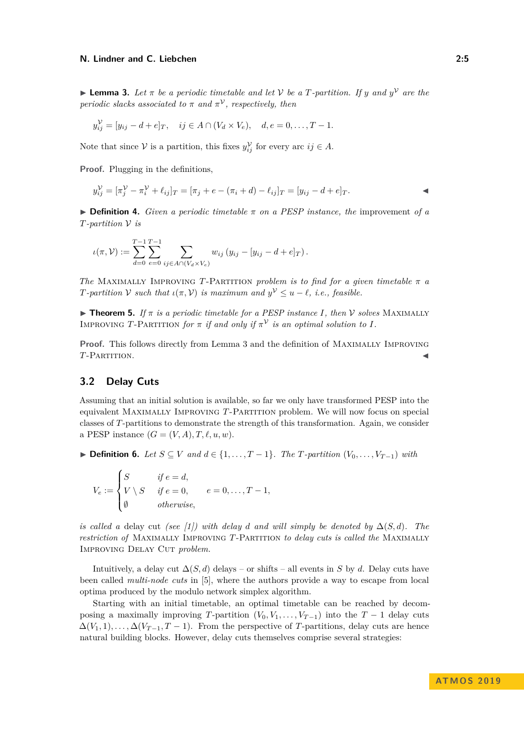**I Lemma 3.** Let  $\pi$  be a periodic timetable and let V be a T-partition. If y and  $y^V$  are the *periodic slacks associated to*  $\pi$  *and*  $\pi^{\mathcal{V}}$ *, respectively, then* 

$$
y_{ij}^{\mathcal{V}} = [y_{ij} - d + e]_T, \quad ij \in A \cap (V_d \times V_e), \quad d, e = 0, \dots, T - 1.
$$

Note that since  $V$  is a partition, this fixes  $y_{ij}^{\mathcal{V}}$  for every arc  $ij \in A$ .

**Proof.** Plugging in the definitions,

$$
y_{ij}^{\mathcal{V}} = [\pi_j^{\mathcal{V}} - \pi_i^{\mathcal{V}} + \ell_{ij}]_T = [\pi_j + e - (\pi_i + d) - \ell_{ij}]_T = [y_{ij} - d + e]_T.
$$

 $\triangleright$  **Definition 4.** *Given a periodic timetable*  $\pi$  *on a PESP instance, the improvement of a T-partition* V *is*

$$
\iota(\pi,\mathcal{V}) := \sum_{d=0}^{T-1} \sum_{e=0}^{T-1} \sum_{ij \in A \cap (V_d \times V_e)} w_{ij} (y_{ij} - [y_{ij} - d + e]_T).
$$

*The* MAXIMALLY IMPROVING *T*-PARTITION *problem is to find for a given timetable*  $\pi$  *a T-partition*  $V$  *such that*  $\iota(\pi, V)$  *is maximum and*  $y^V \leq u - \ell$ , *i.e., feasible.* 

**Theorem 5.** *If*  $\pi$  *is a periodic timetable for a PESP instance I, then*  $\mathcal V$  *solves* MAXIMALLY IMPROVING T-PARTITION for  $\pi$  *if and only if*  $\pi^{\mathcal{V}}$  *is an optimal solution to I*.

**Proof.** This follows directly from Lemma [3](#page-3-1) and the definition of Maximally Improving *T*-Partition.

# <span id="page-4-0"></span>**3.2 Delay Cuts**

Assuming that an initial solution is available, so far we only have transformed PESP into the equivalent Maximally Improving *T*-Partition problem. We will now focus on special classes of *T*-partitions to demonstrate the strength of this transformation. Again, we consider a PESP instance  $(G = (V, A), T, \ell, u, w)$ .

**► Definition 6.** Let  $S \subseteq V$  and  $d \in \{1, \ldots, T-1\}$ . The *T*-partition  $(V_0, \ldots, V_{T-1})$  with

$$
V_e := \begin{cases} S & \text{if } e = d, \\ V \setminus S & \text{if } e = 0, \\ \emptyset & \text{otherwise,} \end{cases} \quad e = 0, \dots, T - 1,
$$

*is called a* delay cut *(see [\[1\]](#page-11-0)) with delay d and will simply be denoted by*  $\Delta(S, d)$ *. The restriction of* Maximally Improving *T*-Partition *to delay cuts is called the* Maximally IMPROVING DELAY CUT *problem*.

Intuitively, a delay cut  $\Delta(S, d)$  delays – or shifts – all events in *S* by *d*. Delay cuts have been called *multi-node cuts* in [\[5\]](#page-12-9), where the authors provide a way to escape from local optima produced by the modulo network simplex algorithm.

Starting with an initial timetable, an optimal timetable can be reached by decomposing a maximally improving *T*-partition  $(V_0, V_1, \ldots, V_{T-1})$  into the *T* − 1 delay cuts  $\Delta(V_1, 1), \ldots, \Delta(V_{T-1}, T-1)$ . From the perspective of *T*-partitions, delay cuts are hence natural building blocks. However, delay cuts themselves comprise several strategies: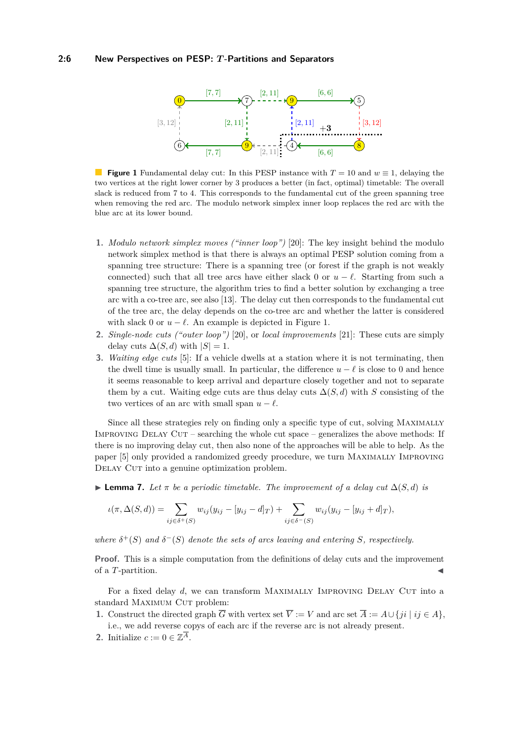#### <span id="page-5-0"></span>**2:6 New Perspectives on PESP:** *T* **-Partitions and Separators**



**Figure 1** Fundamental delay cut: In this PESP instance with *T* = 10 and *w* ≡ 1, delaying the two vertices at the right lower corner by 3 produces a better (in fact, optimal) timetable: The overall slack is reduced from 7 to 4. This corresponds to the fundamental cut of the green spanning tree when removing the red arc. The modulo network simplex inner loop replaces the red arc with the blue arc at its lower bound.

- **1.** *Modulo network simplex moves ("inner loop")* [\[20\]](#page-12-8): The key insight behind the modulo network simplex method is that there is always an optimal PESP solution coming from a spanning tree structure: There is a spanning tree (or forest if the graph is not weakly connected) such that all tree arcs have either slack 0 or  $u - \ell$ . Starting from such a spanning tree structure, the algorithm tries to find a better solution by exchanging a tree arc with a co-tree arc, see also [\[13\]](#page-12-11). The delay cut then corresponds to the fundamental cut of the tree arc, the delay depends on the co-tree arc and whether the latter is considered with slack 0 or  $u - \ell$ . An example is depicted in Figure [1.](#page-5-0)
- **2.** *Single-node cuts ("outer loop")* [\[20\]](#page-12-8), or *local improvements* [\[21\]](#page-13-4): These cuts are simply delay cuts  $\Delta(S, d)$  with  $|S| = 1$ .
- **3.** *Waiting edge cuts* [\[5\]](#page-12-9): If a vehicle dwells at a station where it is not terminating, then the dwell time is usually small. In particular, the difference  $u - \ell$  is close to 0 and hence it seems reasonable to keep arrival and departure closely together and not to separate them by a cut. Waiting edge cuts are thus delay cuts  $\Delta(S, d)$  with *S* consisting of the two vertices of an arc with small span  $u - \ell$ .

Since all these strategies rely on finding only a specific type of cut, solving Maximally Improving Delay Cut – searching the whole cut space – generalizes the above methods: If there is no improving delay cut, then also none of the approaches will be able to help. As the paper [\[5\]](#page-12-9) only provided a randomized greedy procedure, we turn Maximally Improving DELAY CUT into a genuine optimization problem.

 $\blacktriangleright$  **Lemma 7.** *Let π be a periodic timetable. The improvement of a delay cut*  $\Delta(S, d)$  *is* 

$$
\iota(\pi, \Delta(S, d)) = \sum_{ij \in \delta^+(S)} w_{ij}(y_{ij} - [y_{ij} - d]_T) + \sum_{ij \in \delta^-(S)} w_{ij}(y_{ij} - [y_{ij} + d]_T),
$$

*where*  $\delta^+(S)$  *and*  $\delta^-(S)$  *denote the sets of arcs leaving and entering S, respectively.* 

**Proof.** This is a simple computation from the definitions of delay cuts and the improvement of a *T*-partition.

For a fixed delay *d*, we can transform MAXIMALLY IMPROVING DELAY CUT into a standard MAXIMUM CUT problem:

- **1.** Construct the directed graph  $\overline{G}$  with vertex set  $\overline{V} := V$  and arc set  $\overline{A} := A \cup \{ji \mid ij \in A\}$ , i.e., we add reverse copys of each arc if the reverse arc is not already present.
- **2.** Initialize  $c := 0 \in \mathbb{Z}^{\overline{A}}$ .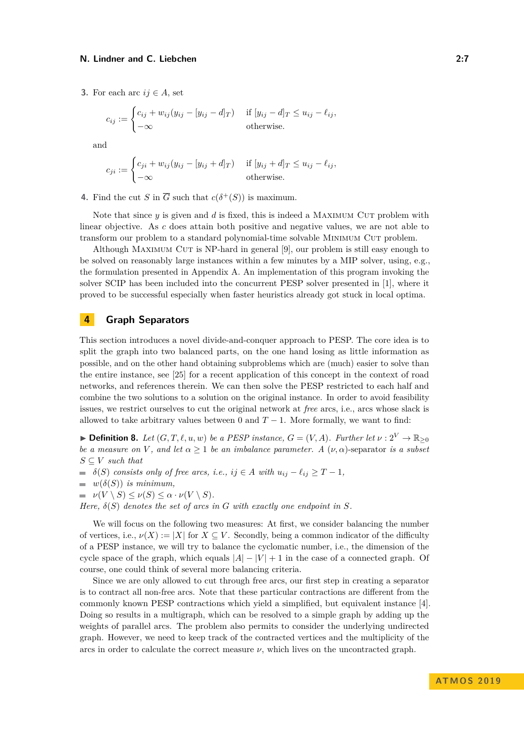**3.** For each arc  $ij \in A$ , set

$$
c_{ij} := \begin{cases} c_{ij} + w_{ij}(y_{ij} - [y_{ij} - d]_T) & \text{if } [y_{ij} - d]_T \le u_{ij} - \ell_{ij}, \\ -\infty & \text{otherwise.} \end{cases}
$$

and

$$
c_{ji} := \begin{cases} c_{ji} + w_{ij}(y_{ij} - [y_{ij} + d]_T) & \text{if } [y_{ij} + d]_T \le u_{ij} - \ell_{ij}, \\ -\infty & \text{otherwise.} \end{cases}
$$

**4.** Find the cut *S* in  $\overline{G}$  such that  $c(\delta^+(S))$  is maximum.

Note that since  $y$  is given and  $d$  is fixed, this is indeed a MAXIMUM CUT problem with linear objective. As *c* does attain both positive and negative values, we are not able to transform our problem to a standard polynomial-time solvable Minimum Cut problem.

Although Maximum Cut is NP-hard in general [\[9\]](#page-12-12), our problem is still easy enough to be solved on reasonably large instances within a few minutes by a MIP solver, using, e.g., the formulation presented in Appendix [A.](#page-13-5) An implementation of this program invoking the solver SCIP has been included into the concurrent PESP solver presented in [\[1\]](#page-11-0), where it proved to be successful especially when faster heuristics already got stuck in local optima.

## <span id="page-6-0"></span>**4 Graph Separators**

This section introduces a novel divide-and-conquer approach to PESP. The core idea is to split the graph into two balanced parts, on the one hand losing as little information as possible, and on the other hand obtaining subproblems which are (much) easier to solve than the entire instance, see [\[25\]](#page-13-6) for a recent application of this concept in the context of road networks, and references therein. We can then solve the PESP restricted to each half and combine the two solutions to a solution on the original instance. In order to avoid feasibility issues, we restrict ourselves to cut the original network at *free* arcs, i.e., arcs whose slack is allowed to take arbitrary values between 0 and  $T - 1$ . More formally, we want to find:

**► Definition 8.** Let  $(G, T, \ell, u, w)$  be a PESP instance,  $G = (V, A)$ . Further let  $\nu : 2^V \to \mathbb{R}_{\geq 0}$ *be a measure on V*, and let  $\alpha \geq 1$  *be an imbalance parameter.* A  $(\nu, \alpha)$ -separator *is a subset*  $S \subseteq V$  *such that* 

- $\bullet$  *δ*(*S*) *consists only of free arcs, i.e., ij*  $\in$  *A with*  $u_{ij} \ell_{ij} \geq T 1$ *,*
- $\blacksquare$  *w*( $\delta(S)$ ) *is minimum,*
- $\nu(V \setminus S) \leq \nu(S) \leq \alpha \cdot \nu(V \setminus S)$ .

*Here,*  $\delta(S)$  *denotes the set of arcs in G with exactly one endpoint in S.* 

We will focus on the following two measures: At first, we consider balancing the number of vertices, i.e.,  $\nu(X) := |X|$  for  $X \subseteq V$ . Secondly, being a common indicator of the difficulty of a PESP instance, we will try to balance the cyclomatic number, i.e., the dimension of the cycle space of the graph, which equals  $|A| - |V| + 1$  in the case of a connected graph. Of course, one could think of several more balancing criteria.

Since we are only allowed to cut through free arcs, our first step in creating a separator is to contract all non-free arcs. Note that these particular contractions are different from the commonly known PESP contractions which yield a simplified, but equivalent instance [\[4\]](#page-12-13). Doing so results in a multigraph, which can be resolved to a simple graph by adding up the weights of parallel arcs. The problem also permits to consider the underlying undirected graph. However, we need to keep track of the contracted vertices and the multiplicity of the arcs in order to calculate the correct measure  $\nu$ , which lives on the uncontracted graph.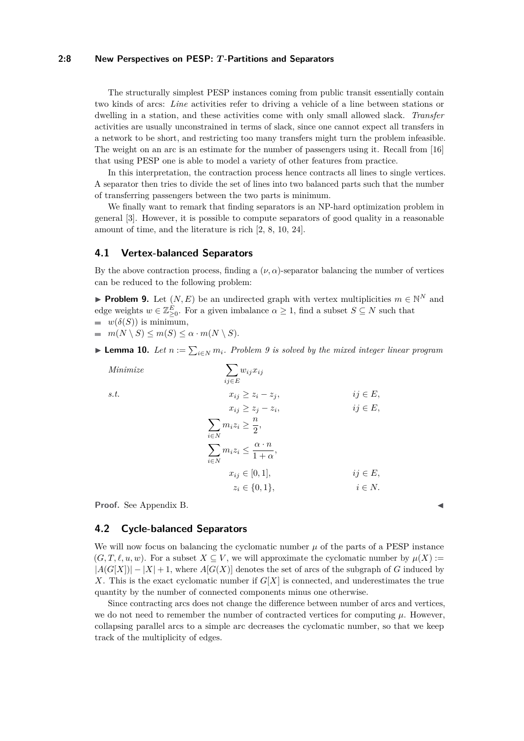#### **2:8 New Perspectives on PESP:** *T* **-Partitions and Separators**

The structurally simplest PESP instances coming from public transit essentially contain two kinds of arcs: *Line* activities refer to driving a vehicle of a line between stations or dwelling in a station, and these activities come with only small allowed slack. *Transfer* activities are usually unconstrained in terms of slack, since one cannot expect all transfers in a network to be short, and restricting too many transfers might turn the problem infeasible. The weight on an arc is an estimate for the number of passengers using it. Recall from [\[16\]](#page-12-14) that using PESP one is able to model a variety of other features from practice.

In this interpretation, the contraction process hence contracts all lines to single vertices. A separator then tries to divide the set of lines into two balanced parts such that the number of transferring passengers between the two parts is minimum.

We finally want to remark that finding separators is an NP-hard optimization problem in general [\[3\]](#page-12-15). However, it is possible to compute separators of good quality in a reasonable amount of time, and the literature is rich [\[2,](#page-12-16) [8,](#page-12-17) [10,](#page-12-18) [24\]](#page-13-7).

#### **4.1 Vertex-balanced Separators**

By the above contraction process, finding a  $(\nu, \alpha)$ -separator balancing the number of vertices can be reduced to the following problem:

<span id="page-7-0"></span>**Problem 9.** Let  $(N, E)$  be an undirected graph with vertex multiplicities  $m \in \mathbb{N}^N$  and edge weights  $w \in \mathbb{Z}_{\geq 0}^E$ . For a given imbalance  $\alpha \geq 1$ , find a subset  $S \subseteq N$  such that  $w(\delta(S))$  is minimum,

$$
= m(N \setminus S) \le m(S) \le \alpha \cdot m(N \setminus S).
$$

<span id="page-7-1"></span>► **Lemma 10.** *Let*  $n := \sum_{i \in N} m_i$ . Problem [9](#page-7-0) is solved by the mixed integer linear program

Minimize  
\n
$$
\sum_{ij \in E} w_{ij} x_{ij}
$$
\ns.t.  
\n
$$
x_{ij} \ge z_i - z_j, \qquad ij \in E,
$$
\n
$$
x_{ij} \ge z_j - z_i, \qquad ij \in E,
$$
\n
$$
\sum_{i \in N} m_i z_i \ge \frac{n}{2},
$$
\n
$$
\sum_{i \in N} m_i z_i \le \frac{\alpha \cdot n}{1 + \alpha},
$$
\n
$$
x_{ij} \in [0, 1], \qquad ij \in E,
$$
\n
$$
z_i \in \{0, 1\}, \qquad ij \in N.
$$

**Proof.** See Appendix [B.](#page-13-8)

### **4.2 Cycle-balanced Separators**

We will now focus on balancing the cyclomatic number  $\mu$  of the parts of a PESP instance  $(G, T, \ell, u, w)$ . For a subset  $X \subseteq V$ , we will approximate the cyclomatic number by  $\mu(X)$  :=  $|A(G[X])| - |X| + 1$ , where  $A[G(X)]$  denotes the set of arcs of the subgraph of *G* induced by *X*. This is the exact cyclomatic number if *G*[*X*] is connected, and underestimates the true quantity by the number of connected components minus one otherwise.

Since contracting arcs does not change the difference between number of arcs and vertices, we do not need to remember the number of contracted vertices for computing  $\mu$ . However, collapsing parallel arcs to a simple arc decreases the cyclomatic number, so that we keep track of the multiplicity of edges.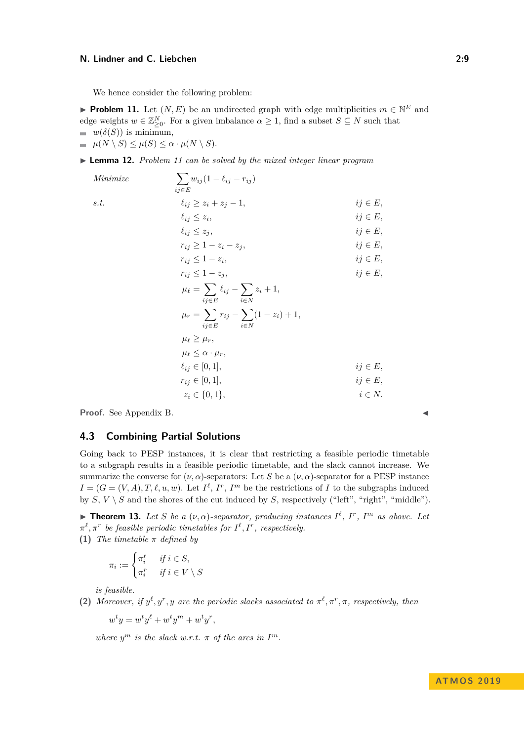We hence consider the following problem:

<span id="page-8-0"></span>**Problem 11.** Let  $(N, E)$  be an undirected graph with edge multiplicities  $m \in \mathbb{N}^E$  and edge weights  $w \in \mathbb{Z}_{\geq 0}^N$ . For a given imbalance  $\alpha \geq 1$ , find a subset  $S \subseteq N$  such that  $w(\delta(S))$  is minimum,  $\mu(N \setminus S) \leq \mu(S) \leq \alpha \cdot \mu(N \setminus S).$ 

<span id="page-8-1"></span>I **Lemma 12.** *Problem [11](#page-8-0) can be solved by the mixed integer linear program*

 $Minimize$ *ij*∈*E*  $w_{ij}(1 - \ell_{ij} - r_{ij})$ *s.t.*  $\ell_{ij} \geq z_i + z_j - 1$ ,  $ij \in E$ ,  $\ell_{ij} \leq z_i$  $ij \in E$ ,  $\ell_{ij} \leq z_j$ , *ij* ∈ *E*,  $r_{ij} \geq 1 - z_i - z_j$ , *ij* ∈ *E*,  $r_{ij} \leq 1 - z_i$  $ij \in E$ ,  $r_{ij} \leq 1 - z_j$ , *ij* ∈ *E*,  $\mu_{\ell} = \sum$ *ij*∈*E*  $\ell_{ij}$  −  $\sum$ *i*∈*N z<sup>i</sup>* + 1*,*  $\mu_r = \sum$ *ij*∈*E*  $r_{ij} - \sum$ *i*∈*N*  $(1 - z_i) + 1,$  $\mu_{\ell} \geq \mu_r$  $\mu_{\ell} < \alpha \cdot \mu_r$  $\ell_{ij} \in [0, 1],$  *ij* ∈ *E*,  $r_{ij} \in [0, 1],$  *ij* ∈ *E*,  $z_i \in \{0, 1\},\qquad i \in N.$ 

**Proof.** See Appendix [B.](#page-13-8)

#### **4.3 Combining Partial Solutions**

Going back to PESP instances, it is clear that restricting a feasible periodic timetable to a subgraph results in a feasible periodic timetable, and the slack cannot increase. We summarize the converse for  $(\nu, \alpha)$ -separators: Let *S* be a  $(\nu, \alpha)$ -separator for a PESP instance  $I = (G = (V, A), T, \ell, u, w)$ . Let  $I^{\ell}, I^{r}, I^{m}$  be the restrictions of *I* to the subgraphs induced by  $S, V \setminus S$  and the shores of the cut induced by  $S$ , respectively ("left", "right", "middle").

**Fineorem 13.** Let S be a  $(\nu, \alpha)$ -separator, producing instances  $I^{\ell}$ ,  $I^{r}$ ,  $I^{m}$  as above. Let  $\pi^{\ell}, \pi^{r}$  *be feasible periodic timetables for*  $I^{\ell}, I^{r}$ *, respectively.* **(1)** *The timetable π defined by*

$$
\pi_i := \begin{cases} \pi_i^{\ell} & \text{if } i \in S, \\ \pi_i^r & \text{if } i \in V \setminus S \end{cases}
$$

*is feasible.*

**(2)** *Moreover, if*  $y^{\ell}, y^r, y$  *are the periodic slacks associated to*  $\pi^{\ell}, \pi^r, \pi$ *, respectively, then* 

$$
w^t y = w^t y^\ell + w^t y^m + w^t y^r,
$$

*where*  $y^m$  *is the slack w.r.t.*  $\pi$  *of the arcs in*  $I^m$ *.*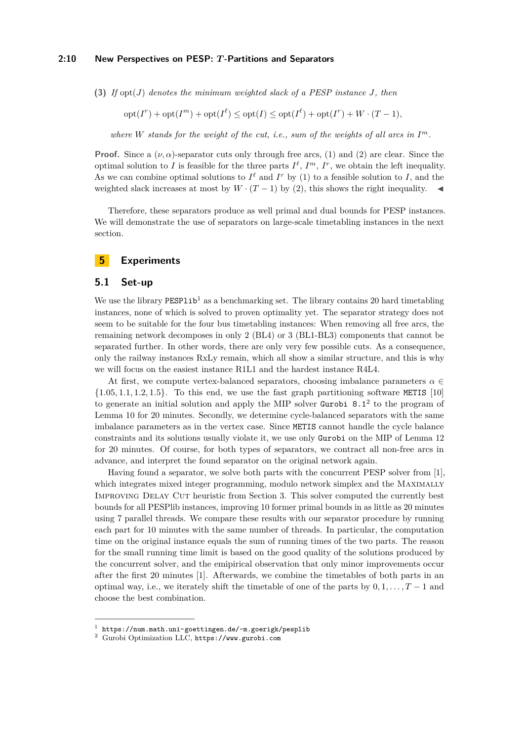#### **2:10 New Perspectives on PESP:** *T* **-Partitions and Separators**

**(3)** *If* opt(*J*) *denotes the minimum weighted slack of a PESP instance J, then*

$$
opt(I^r) + opt(I^m) + opt(I^{\ell}) \le opt(I) \le opt(I^{\ell}) + opt(I^r) + W \cdot (T - 1),
$$

where  $W$  *stands for the weight of the cut, i.e., sum of the weights of all arcs in*  $I<sup>m</sup>$ *.* 

**Proof.** Since a  $(\nu, \alpha)$ -separator cuts only through free arcs, (1) and (2) are clear. Since the optimal solution to *I* is feasible for the three parts  $I^{\ell}$ ,  $I^m$ ,  $I^r$ , we obtain the left inequality. As we can combine optimal solutions to  $I^{\ell}$  and  $I^r$  by (1) to a feasible solution to *I*, and the weighted slack increases at most by  $W \cdot (T-1)$  by (2), this shows the right inequality.

Therefore, these separators produce as well primal and dual bounds for PESP instances. We will demonstrate the use of separators on large-scale timetabling instances in the next section.

### <span id="page-9-0"></span>**5 Experiments**

### **5.1 Set-up**

We use the library  $PESP1ib<sup>1</sup>$  $PESP1ib<sup>1</sup>$  $PESP1ib<sup>1</sup>$  as a benchmarking set. The library contains 20 hard timetabling instances, none of which is solved to proven optimality yet. The separator strategy does not seem to be suitable for the four bus timetabling instances: When removing all free arcs, the remaining network decomposes in only 2 (BL4) or 3 (BL1-BL3) components that cannot be separated further. In other words, there are only very few possible cuts. As a consequence, only the railway instances RxLy remain, which all show a similar structure, and this is why we will focus on the easiest instance R1L1 and the hardest instance R4L4.

At first, we compute vertex-balanced separators, choosing imbalance parameters  $\alpha \in$ {1*.*05*,* 1*.*1*,* 1*.*2*,* 1*.*5}. To this end, we use the fast graph partitioning software METIS [\[10\]](#page-12-18) to generate an initial solution and apply the MIP solver Gurobi  $8.1<sup>2</sup>$  $8.1<sup>2</sup>$  $8.1<sup>2</sup>$  to the program of Lemma [10](#page-7-1) for 20 minutes. Secondly, we determine cycle-balanced separators with the same imbalance parameters as in the vertex case. Since METIS cannot handle the cycle balance constraints and its solutions usually violate it, we use only Gurobi on the MIP of Lemma [12](#page-8-1) for 20 minutes. Of course, for both types of separators, we contract all non-free arcs in advance, and interpret the found separator on the original network again.

Having found a separator, we solve both parts with the concurrent PESP solver from [\[1\]](#page-11-0), which integrates mixed integer programming, modulo network simplex and the Maximally Improving Delay Cut heuristic from Section [3.](#page-3-0) This solver computed the currently best bounds for all PESPlib instances, improving 10 former primal bounds in as little as 20 minutes using 7 parallel threads. We compare these results with our separator procedure by running each part for 10 minutes with the same number of threads. In particular, the computation time on the original instance equals the sum of running times of the two parts. The reason for the small running time limit is based on the good quality of the solutions produced by the concurrent solver, and the emipirical observation that only minor improvements occur after the first 20 minutes [\[1\]](#page-11-0). Afterwards, we combine the timetables of both parts in an optimal way, i.e., we iterately shift the timetable of one of the parts by  $0, 1, \ldots, T-1$  and choose the best combination.

<span id="page-9-1"></span><sup>1</sup> <https://num.math.uni-goettingen.de/~m.goerigk/pesplib>

<span id="page-9-2"></span><sup>2</sup> Gurobi Optimization LLC, <https://www.gurobi.com>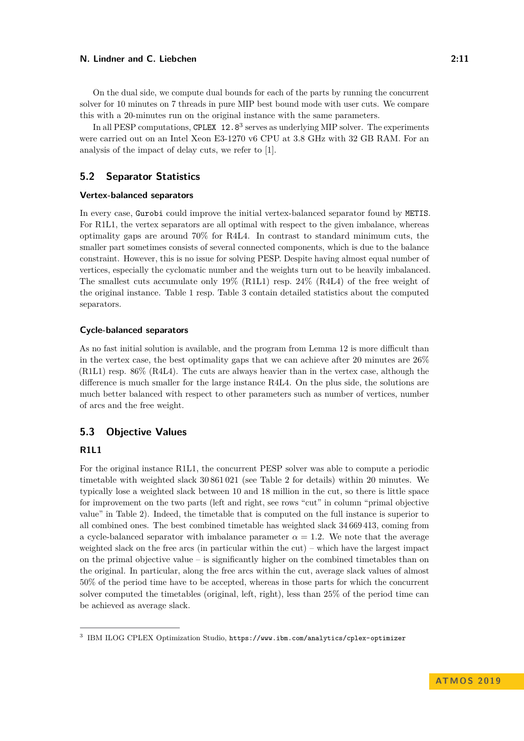On the dual side, we compute dual bounds for each of the parts by running the concurrent solver for 10 minutes on 7 threads in pure MIP best bound mode with user cuts. We compare this with a 20-minutes run on the original instance with the same parameters.

In all PESP computations, CPLEX 12.8<sup>[3](#page-10-0)</sup> serves as underlying MIP solver. The experiments were carried out on an Intel Xeon E3-1270 v6 CPU at 3.8 GHz with 32 GB RAM. For an analysis of the impact of delay cuts, we refer to [\[1\]](#page-11-0).

# **5.2 Separator Statistics**

#### **Vertex-balanced separators**

In every case, Gurobi could improve the initial vertex-balanced separator found by METIS. For R1L1, the vertex separators are all optimal with respect to the given imbalance, whereas optimality gaps are around 70% for R4L4. In contrast to standard minimum cuts, the smaller part sometimes consists of several connected components, which is due to the balance constraint. However, this is no issue for solving PESP. Despite having almost equal number of vertices, especially the cyclomatic number and the weights turn out to be heavily imbalanced. The smallest cuts accumulate only 19% (R1L1) resp. 24% (R4L4) of the free weight of the original instance. Table [1](#page-14-0) resp. Table [3](#page-16-0) contain detailed statistics about the computed separators.

#### **Cycle-balanced separators**

As no fast initial solution is available, and the program from Lemma [12](#page-8-1) is more difficult than in the vertex case, the best optimality gaps that we can achieve after 20 minutes are 26% (R1L1) resp. 86% (R4L4). The cuts are always heavier than in the vertex case, although the difference is much smaller for the large instance R4L4. On the plus side, the solutions are much better balanced with respect to other parameters such as number of vertices, number of arcs and the free weight.

# **5.3 Objective Values**

## **R1L1**

For the original instance R1L1, the concurrent PESP solver was able to compute a periodic timetable with weighted slack 30 861 021 (see Table [2](#page-15-0) for details) within 20 minutes. We typically lose a weighted slack between 10 and 18 million in the cut, so there is little space for improvement on the two parts (left and right, see rows "cut" in column "primal objective value" in Table [2\)](#page-15-0). Indeed, the timetable that is computed on the full instance is superior to all combined ones. The best combined timetable has weighted slack 34 669 413, coming from a cycle-balanced separator with imbalance parameter  $\alpha = 1.2$ . We note that the average weighted slack on the free arcs (in particular within the cut) – which have the largest impact on the primal objective value – is significantly higher on the combined timetables than on the original. In particular, along the free arcs within the cut, average slack values of almost 50% of the period time have to be accepted, whereas in those parts for which the concurrent solver computed the timetables (original, left, right), less than 25% of the period time can be achieved as average slack.

<span id="page-10-0"></span><sup>3</sup> IBM ILOG CPLEX Optimization Studio, <https://www.ibm.com/analytics/cplex-optimizer>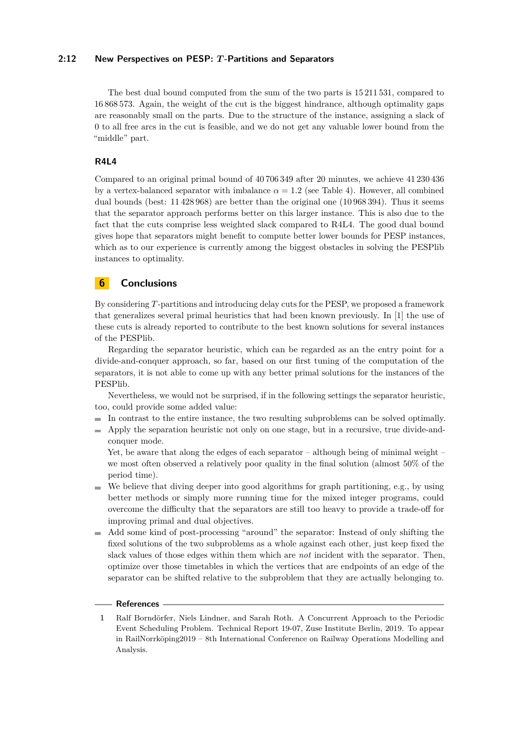### **2:12 New Perspectives on PESP:** *T* **-Partitions and Separators**

The best dual bound computed from the sum of the two parts is 15 211 531, compared to 16 868 573. Again, the weight of the cut is the biggest hindrance, although optimality gaps are reasonably small on the parts. Due to the structure of the instance, assigning a slack of 0 to all free arcs in the cut is feasible, and we do not get any valuable lower bound from the "middle" part.

### **R4L4**

Compared to an original primal bound of 40 706 349 after 20 minutes, we achieve 41 230 436 by a vertex-balanced separator with imbalance  $\alpha = 1.2$  (see Table [4\)](#page-17-1). However, all combined dual bounds (best: 11 428 968) are better than the original one (10 968 394). Thus it seems that the separator approach performs better on this larger instance. This is also due to the fact that the cuts comprise less weighted slack compared to R4L4. The good dual bound gives hope that separators might benefit to compute better lower bounds for PESP instances, which as to our experience is currently among the biggest obstacles in solving the PESPlib instances to optimality.

## **6 Conclusions**

By considering *T*-partitions and introducing delay cuts for the PESP, we proposed a framework that generalizes several primal heuristics that had been known previously. In [\[1\]](#page-11-0) the use of these cuts is already reported to contribute to the best known solutions for several instances of the PESPlib.

Regarding the separator heuristic, which can be regarded as an the entry point for a divide-and-conquer approach, so far, based on our first tuning of the computation of the separators, it is not able to come up with any better primal solutions for the instances of the PESPlib.

Nevertheless, we would not be surprised, if in the following settings the separator heuristic, too, could provide some added value:

- In contrast to the entire instance, the two resulting subproblems can be solved optimally.
- Apply the separation heuristic not only on one stage, but in a recursive, true divide-andconquer mode.

Yet, be aware that along the edges of each separator – although being of minimal weight – we most often observed a relatively poor quality in the final solution (almost 50% of the period time).

- We believe that diving deeper into good algorithms for graph partitioning, e.g., by using m. better methods or simply more running time for the mixed integer programs, could overcome the difficulty that the separators are still too heavy to provide a trade-off for improving primal and dual objectives.
- Add some kind of post-processing "around" the separator: Instead of only shifting the fixed solutions of the two subproblems as a whole against each other, just keep fixed the slack values of those edges within them which are *not* incident with the separator. Then, optimize over those timetables in which the vertices that are endpoints of an edge of the separator can be shifted relative to the subproblem that they are actually belonging to.

### **References**

<span id="page-11-0"></span>**1** Ralf Borndörfer, Niels Lindner, and Sarah Roth. A Concurrent Approach to the Periodic Event Scheduling Problem. Technical Report 19-07, Zuse Institute Berlin, 2019. To appear in RailNorrköping2019 – 8th International Conference on Railway Operations Modelling and Analysis.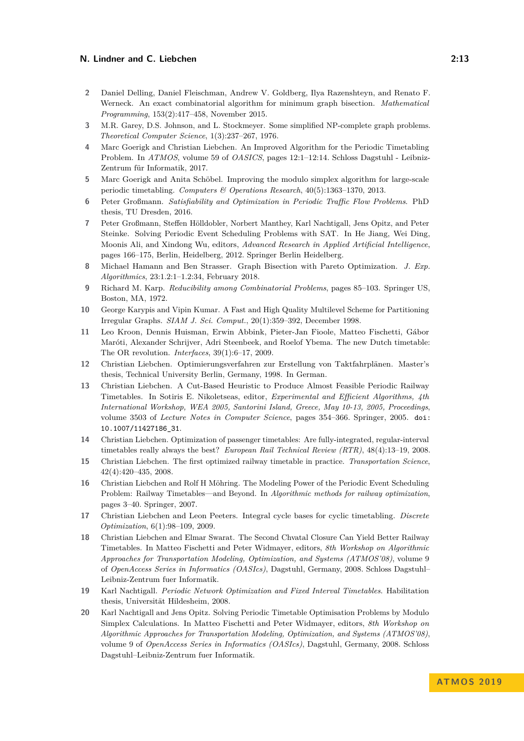- <span id="page-12-16"></span>**2** Daniel Delling, Daniel Fleischman, Andrew V. Goldberg, Ilya Razenshteyn, and Renato F. Werneck. An exact combinatorial algorithm for minimum graph bisection. *Mathematical Programming*, 153(2):417–458, November 2015.
- <span id="page-12-15"></span>**3** M.R. Garey, D.S. Johnson, and L. Stockmeyer. Some simplified NP-complete graph problems. *Theoretical Computer Science*, 1(3):237–267, 1976.
- <span id="page-12-13"></span>**4** Marc Goerigk and Christian Liebchen. An Improved Algorithm for the Periodic Timetabling Problem. In *ATMOS*, volume 59 of *OASICS*, pages 12:1–12:14. Schloss Dagstuhl - Leibniz-Zentrum für Informatik, 2017.
- <span id="page-12-9"></span>**5** Marc Goerigk and Anita Schöbel. Improving the modulo simplex algorithm for large-scale periodic timetabling. *Computers & Operations Research*, 40(5):1363–1370, 2013.
- <span id="page-12-7"></span>**6** Peter Großmann. *Satisfiability and Optimization in Periodic Traffic Flow Problems*. PhD thesis, TU Dresden, 2016.
- <span id="page-12-6"></span>**7** Peter Großmann, Steffen Hölldobler, Norbert Manthey, Karl Nachtigall, Jens Opitz, and Peter Steinke. Solving Periodic Event Scheduling Problems with SAT. In He Jiang, Wei Ding, Moonis Ali, and Xindong Wu, editors, *Advanced Research in Applied Artificial Intelligence*, pages 166–175, Berlin, Heidelberg, 2012. Springer Berlin Heidelberg.
- <span id="page-12-17"></span>**8** Michael Hamann and Ben Strasser. Graph Bisection with Pareto Optimization. *J. Exp. Algorithmics*, 23:1.2:1–1.2:34, February 2018.
- <span id="page-12-12"></span>**9** Richard M. Karp. *Reducibility among Combinatorial Problems*, pages 85–103. Springer US, Boston, MA, 1972.
- <span id="page-12-18"></span>**10** George Karypis and Vipin Kumar. A Fast and High Quality Multilevel Scheme for Partitioning Irregular Graphs. *SIAM J. Sci. Comput.*, 20(1):359–392, December 1998.
- <span id="page-12-0"></span>**11** Leo Kroon, Dennis Huisman, Erwin Abbink, Pieter-Jan Fioole, Matteo Fischetti, Gábor Maróti, Alexander Schrijver, Adri Steenbeek, and Roelof Ybema. The new Dutch timetable: The OR revolution. *Interfaces*, 39(1):6–17, 2009.
- <span id="page-12-10"></span>**12** Christian Liebchen. Optimierungsverfahren zur Erstellung von Taktfahrplänen. Master's thesis, Technical University Berlin, Germany, 1998. In German.
- <span id="page-12-11"></span>**13** Christian Liebchen. A Cut-Based Heuristic to Produce Almost Feasible Periodic Railway Timetables. In Sotiris E. Nikoletseas, editor, *Experimental and Efficient Algorithms, 4th International Workshop, WEA 2005, Santorini Island, Greece, May 10-13, 2005, Proceedings*, volume 3503 of *Lecture Notes in Computer Science*, pages 354–366. Springer, 2005. [doi:](https://doi.org/10.1007/11427186_31) [10.1007/11427186\\_31](https://doi.org/10.1007/11427186_31).
- <span id="page-12-1"></span>**14** Christian Liebchen. Optimization of passenger timetables: Are fully-integrated, regular-interval timetables really always the best? *European Rail Technical Review (RTR)*, 48(4):13–19, 2008.
- <span id="page-12-2"></span>**15** Christian Liebchen. The first optimized railway timetable in practice. *Transportation Science*, 42(4):420–435, 2008.
- <span id="page-12-14"></span>**16** Christian Liebchen and Rolf H Möhring. The Modeling Power of the Periodic Event Scheduling Problem: Railway Timetables—and Beyond. In *Algorithmic methods for railway optimization*, pages 3–40. Springer, 2007.
- <span id="page-12-3"></span>**17** Christian Liebchen and Leon Peeters. Integral cycle bases for cyclic timetabling. *Discrete Optimization*, 6(1):98–109, 2009.
- <span id="page-12-4"></span>**18** Christian Liebchen and Elmar Swarat. The Second Chvatal Closure Can Yield Better Railway Timetables. In Matteo Fischetti and Peter Widmayer, editors, *8th Workshop on Algorithmic Approaches for Transportation Modeling, Optimization, and Systems (ATMOS'08)*, volume 9 of *OpenAccess Series in Informatics (OASIcs)*, Dagstuhl, Germany, 2008. Schloss Dagstuhl– Leibniz-Zentrum fuer Informatik.
- <span id="page-12-5"></span>**19** Karl Nachtigall. *Periodic Network Optimization and Fixed Interval Timetables*. Habilitation thesis, Universität Hildesheim, 2008.
- <span id="page-12-8"></span>**20** Karl Nachtigall and Jens Opitz. Solving Periodic Timetable Optimisation Problems by Modulo Simplex Calculations. In Matteo Fischetti and Peter Widmayer, editors, *8th Workshop on Algorithmic Approaches for Transportation Modeling, Optimization, and Systems (ATMOS'08)*, volume 9 of *OpenAccess Series in Informatics (OASIcs)*, Dagstuhl, Germany, 2008. Schloss Dagstuhl–Leibniz-Zentrum fuer Informatik.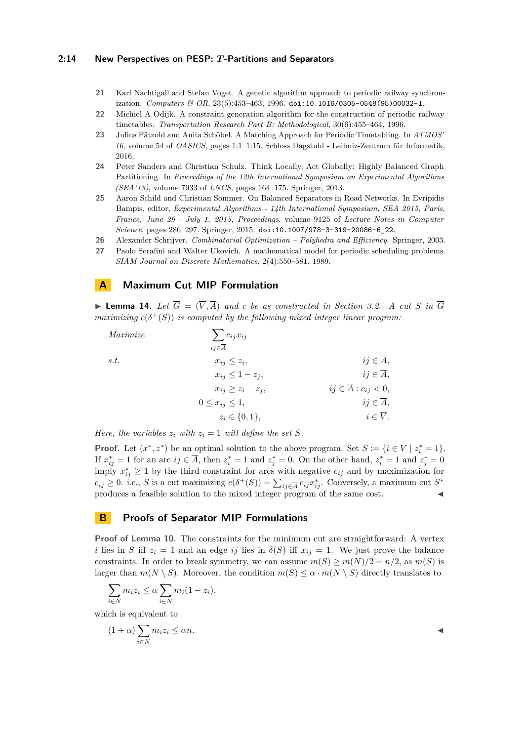#### **2:14 New Perspectives on PESP:** *T* **-Partitions and Separators**

- <span id="page-13-4"></span>**21** Karl Nachtigall and Stefan Voget. A genetic algorithm approach to periodic railway synchronization. *Computers & OR*, 23(5):453–463, 1996. [doi:10.1016/0305-0548\(95\)00032-1](https://doi.org/10.1016/0305-0548(95)00032-1).
- <span id="page-13-3"></span>**22** Michiel A Odijk. A constraint generation algorithm for the construction of periodic railway timetables. *Transportation Research Part B: Methodological*, 30(6):455–464, 1996.
- <span id="page-13-1"></span>**23** Julius Pätzold and Anita Schöbel. A Matching Approach for Periodic Timetabling. In *ATMOS' 16*, volume 54 of *OASICS*, pages 1:1–1:15. Schloss Dagstuhl - Leibniz-Zentrum für Informatik, 2016.
- <span id="page-13-7"></span>**24** Peter Sanders and Christian Schulz. Think Locally, Act Globally: Highly Balanced Graph Partitioning. In *Proceedings of the 12th International Symposium on Experimental Algorithms (SEA'13)*, volume 7933 of *LNCS*, pages 164–175. Springer, 2013.
- <span id="page-13-6"></span>**25** Aaron Schild and Christian Sommer. On Balanced Separators in Road Networks. In Evripidis Bampis, editor, *Experimental Algorithms - 14th International Symposium, SEA 2015, Paris, France, June 29 - July 1, 2015, Proceedings*, volume 9125 of *Lecture Notes in Computer Science*, pages 286–297. Springer, 2015. [doi:10.1007/978-3-319-20086-6\\_22](https://doi.org/10.1007/978-3-319-20086-6_22).
- <span id="page-13-2"></span>**26** Alexander Schrijver. *Combinatorial Optimization – Polyhedra and Efficiency*. Springer, 2003.
- <span id="page-13-0"></span>**27** Paolo Serafini and Walter Ukovich. A mathematical model for periodic scheduling problems. *SIAM Journal on Discrete Mathematics*, 2(4):550–581, 1989.

# <span id="page-13-5"></span>**A Maximum Cut MIP Formulation**

**Example 14.** Let  $\overline{G} = (\overline{V}, \overline{A})$  and c be as constructed in Section [3.2.](#page-4-0) A cut S in  $\overline{G}$ *maximizing*  $c(\delta^+(S))$  *is computed by the following mixed integer linear program:* 

| Maximize | $\sum c_{ij} x_{ij}$     |                                    |
|----------|--------------------------|------------------------------------|
|          | $ij \in \overline{A}$    |                                    |
| s.t.     | $x_{ij} \leq z_i$        | $ij \in \overline{A}$ ,            |
|          | $x_{ij} \leq 1-z_j$      | $ij \in \overline{A}$ ,            |
|          | $x_{ij} \geq z_i - z_j$  | $ij \in \overline{A}: c_{ij} < 0,$ |
|          | $0 \leq x_{ij} \leq 1$ , | $ij \in \overline{A}$ ,            |
|          | $z_i \in \{0,1\},\$      | $i \in \overline{V}$ .             |

*Here, the variables*  $z_i$  *with*  $z_i = 1$  *will define the set*  $S$ *.* 

**Proof.** Let  $(x^*, z^*)$  be an optimal solution to the above program. Set  $S := \{i \in V \mid z_i^* = 1\}.$ If  $x_{ij}^* = 1$  for an arc  $ij \in \overline{A}$ , then  $z_i^* = 1$  and  $z_j^* = 0$ . On the other hand,  $z_i^* = 1$  and  $z_j^* = 0$ imply  $x_{ij}^* \geq 1$  by the third constraint for arcs with negative  $c_{ij}$  and by maximization for  $c_{ij} \geq 0$ . i.e., *S* is a cut maximizing  $c(\delta^+(S)) = \sum_{ij \in \overline{A}} c_{ij} x_{ij}^*$ . Conversely, a maximum cut  $S^*$ produces a feasible solution to the mixed integer program of the same cost.

# <span id="page-13-8"></span>**B Proofs of Separator MIP Formulations**

**Proof of Lemma [10.](#page-7-1)** The constraints for the minimum cut are straightforward: A vertex *i* lies in *S* iff  $z_i = 1$  and an edge *ij* lies in  $\delta(S)$  iff  $x_{ij} = 1$ . We just prove the balance constraints. In order to break symmetry, we can assume  $m(S) \ge m(N)/2 = n/2$ , as  $m(S)$  is larger than  $m(N \setminus S)$ . Moreover, the condition  $m(S) \leq \alpha \cdot m(N \setminus S)$  directly translates to

$$
\sum_{i \in N} m_i z_i \le \alpha \sum_{i \in N} m_i (1 - z_i),
$$

which is equivalent to

(1 + *α*)

$$
(1+\alpha)\sum_{i\in N}m_iz_i\leq \alpha n.
$$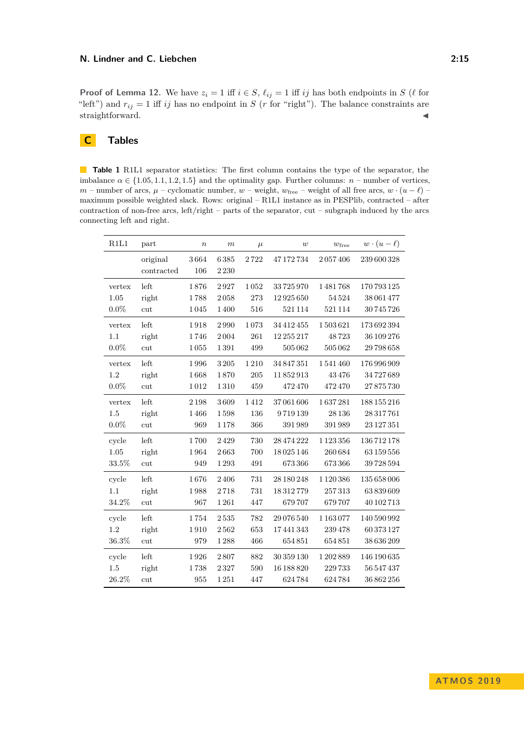**Proof of Lemma [12.](#page-8-1)** We have  $z_i = 1$  iff  $i \in S$ ,  $\ell_{ij} = 1$  iff *ij* has both endpoints in *S* ( $\ell$  for "left") and  $r_{ij} = 1$  iff *ij* has no endpoint in *S* (*r* for "right"). The balance constraints are straightforward.

# **C Tables**

<span id="page-14-0"></span>**Table 1** R1L1 separator statistics: The first column contains the type of the separator, the imbalance  $\alpha \in \{1.05, 1.1, 1.2, 1.5\}$  and the optimality gap. Further columns:  $n$  – number of vertices, *m* – number of arcs,  $\mu$  – cyclomatic number,  $w$  – weight,  $w_{\text{free}}$  – weight of all free arcs,  $w \cdot (u - \ell)$  – maximum possible weighted slack. Rows: original – R1L1 instance as in PESPlib, contracted – after contraction of non-free arcs, left/right – parts of the separator, cut – subgraph induced by the arcs connecting left and right.

| R1L1    | part       | $\boldsymbol{n}$ | $\boldsymbol{m}$ | $\mu$ | w           | $w_{\rm free}$ | $w \cdot (u - \ell)$ |
|---------|------------|------------------|------------------|-------|-------------|----------------|----------------------|
|         | original   | 3664             | 6385             | 2722  | 47 172 734  | 2057406        | 239 600 328          |
|         | contracted | 106              | 2230             |       |             |                |                      |
| vertex  | left       | 1876             | 2927             | 1052  | 33725970    | 1481768        | 170 793 125          |
| 1.05    | right      | 1788             | 2058             | 273   | 12 9 25 650 | 54524          | 38 061 477           |
| $0.0\%$ | cut        | 1045             | 1400             | 516   | 521114      | 521114         | 30 745 726           |
| vertex  | left       | 1918             | 2990             | 1073  | 34 412 455  | 1503621        | 173692394            |
| 1.1     | right      | 1746             | 2004             | 261   | 12 255 217  | 48723          | 36 109 276           |
| $0.0\%$ | cut        | 1055             | 1391             | 499   | 505062      | 505062         | 29 798 658           |
| vertex  | left       | 1996             | 3205             | 1210  | 34 847 351  | 1541460        | 176 996 909          |
| 1.2     | right      | 1668             | 1870             | 205   | 11852913    | 43476          | 34727689             |
| $0.0\%$ | cut        | 1012             | 1310             | 459   | 472470      | 472470         | 27875730             |
| vertex  | left       | 2198             | 3609             | 1412  | 37061606    | 1637281        | 188 155 216          |
| 1.5     | right      | 1466             | 1598             | 136   | 9719139     | 28 1 36        | 28 317 761           |
| $0.0\%$ | cut        | 969              | 1 1 7 8          | 366   | 391989      | 391989         | 23 127 351           |
| cycle   | left       | 1700             | 2429             | 730   | 28 474 222  | 1 1 2 3 3 5 6  | 136712178            |
| 1.05    | right      | 1964             | 2663             | 700   | 18025146    | 260684         | 63 159 556           |
| 33.5%   | cut        | 949              | 1293             | 491   | 673366      | 673366         | 39 728 594           |
| cycle   | left       | 1676             | 2406             | 731   | 28 180 248  | 1 1 2 0 3 8 6  | 135 658 006          |
| 1.1     | right      | 1988             | 2718             | 731   | 18312779    | 257313         | 63839609             |
| 34.2%   | cut        | 967              | 1261             | 447   | 679707      | 679707         | 40 102 713           |
| cycle   | left       | 1754             | 2535             | 782   | 29 076 540  | 1163077        | 140 590 992          |
| 1.2     | right      | 1910             | 2562             | 653   | 17441343    | 239478         | 60373127             |
| 36.3%   | cut        | 979              | 1288             | 466   | 654851      | 654851         | 38 636 209           |
| cycle   | left       | 1926             | 2807             | 882   | 30 359 130  | 1202889        | 146 190 635          |
| 1.5     | right      | 1738             | 2327             | 590   | 16 188 820  | 229733         | 56 547 437           |
| 26.2%   | cut        | 955              | 1251             | 447   | 624784      | 624784         | 36 862 256           |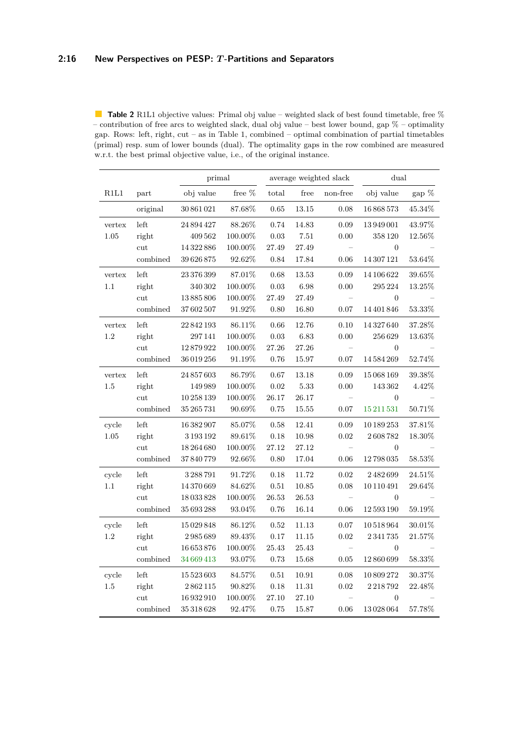<span id="page-15-0"></span>**Table 2** R1L1 objective values: Primal obj value – weighted slack of best found timetable, free % – contribution of free arcs to weighted slack, dual obj value – best lower bound, gap  $%$  – optimality gap. Rows: left, right, cut – as in Table [1,](#page-14-0) combined – optimal combination of partial timetables (primal) resp. sum of lower bounds (dual). The optimality gaps in the row combined are measured w.r.t. the best primal objective value, i.e., of the original instance.

|            |          | primal         |            | average weighted slack |           |                          | dual             |           |  |
|------------|----------|----------------|------------|------------------------|-----------|--------------------------|------------------|-----------|--|
| $\rm R1L1$ | part     | obj value      | free $%$   | $_{\rm total}$         | free      | non-free                 | obj value        | gap $\%$  |  |
|            | original | 30 861 021     | 87.68%     | 0.65                   | $13.15\,$ | 0.08                     | 16868573         | $45.34\%$ |  |
| vertex     | left     | 24 894 427     | 88.26\%    | 0.74                   | 14.83     | 0.09                     | 13949001         | 43.97%    |  |
| 1.05       | right    | 409 562        | 100.00%    | 0.03                   | 7.51      | 0.00                     | 358120           | $12.56\%$ |  |
|            | cut      | $14\,322\,886$ | 100.00%    | 27.49                  | 27.49     | $\qquad \qquad -$        | $\overline{0}$   |           |  |
|            | combined | 39626875       | $92.62\%$  | 0.84                   | 17.84     | $0.06\,$                 | 14 307 121       | 53.64%    |  |
| vertex     | left     | 23 376 399     | 87.01%     | 0.68                   | $13.53\,$ | 0.09                     | 14 106 622       | $39.65\%$ |  |
| $1.1\,$    | right    | 340 302        | 100.00%    | $\rm 0.03$             | 6.98      | 0.00                     | 295 224          | 13.25%    |  |
|            | cut      | 13885806       | 100.00%    | 27.49                  | 27.49     | $\overline{\phantom{0}}$ | $\boldsymbol{0}$ |           |  |
|            | combined | 37602507       | $91.92\%$  | 0.80                   | 16.80     | 0.07                     | 14 401 846       | $53.33\%$ |  |
| vertex     | left     | 22842193       | 86.11\%    | $0.66\,$               | 12.76     | $0.10\,$                 | 14 327 640       | 37.28%    |  |
| $1.2\,$    | right    | 297141         | 100.00%    | 0.03                   | 6.83      | 0.00                     | 256629           | 13.63%    |  |
|            | cut      | 12879922       | $100.00\%$ | $27.26\,$              | $27.26\,$ |                          | $\boldsymbol{0}$ |           |  |
|            | combined | 36 019 256     | 91.19%     | 0.76                   | 15.97     | 0.07                     | 14584269         | 52.74%    |  |
| vertex     | left     | 24 857 603     | 86.79%     | 0.67                   | 13.18     | $0.09\,$                 | 15068169         | $39.38\%$ |  |
| 1.5        | right    | 149989         | 100.00%    | 0.02                   | 5.33      | 0.00                     | 143 362          | 4.42%     |  |
|            | cut      | 10 258 139     | 100.00%    | 26.17                  | 26.17     | $\equiv$                 | $\boldsymbol{0}$ |           |  |
|            | combined | 35 265 731     | $90.69\%$  | 0.75                   | 15.55     | 0.07                     | 15 211 531       | $50.71\%$ |  |
| cycle      | left     | 16382907       | 85.07%     | 0.58                   | 12.41     | 0.09                     | 10 189 253       | 37.81\%   |  |
| 1.05       | right    | 3 1 9 3 1 9 2  | 89.61%     | $0.18\,$               | 10.98     | 0.02                     | 2608782          | 18.30%    |  |
|            | cut      | 18 264 680     | 100.00%    | $27.12\,$              | $27.12\,$ |                          | $\overline{0}$   |           |  |
|            | combined | 37840779       | $92.66\%$  | 0.80                   | 17.04     | 0.06                     | 12798035         | 58.53%    |  |
| cycle      | left     | 3288791        | 91.72%     | 0.18                   | 11.72     | 0.02                     | 2482699          | 24.51%    |  |
| $1.1\,$    | right    | 14 370 669     | 84.62%     | $0.51\,$               | 10.85     | 0.08                     | 10 110 491       | 29.64%    |  |
|            | cut      | 18033828       | $100.00\%$ | $26.53\,$              | $26.53\,$ | $\frac{1}{2}$            | $\boldsymbol{0}$ |           |  |
|            | combined | $35\,693\,288$ | $93.04\%$  | 0.76                   | 16.14     | 0.06                     | 12 593 190       | $59.19\%$ |  |
| cycle      | left     | 15029848       | 86.12%     | 0.52                   | 11.13     | 0.07                     | 10518964         | 30.01\%   |  |
| $1.2\,$    | right    | 2985689        | $89.43\%$  | $0.17\,$               | 11.15     | 0.02                     | 2341735          | $21.57\%$ |  |
|            | cut      | 16 653 876     | 100.00%    | $25.43\,$              | $25.43\,$ |                          | $\overline{0}$   |           |  |
|            | combined | 34 669 413     | $93.07\%$  | 0.73                   | 15.68     | $\rm 0.05$               | 12860699         | $58.33\%$ |  |
| cycle      | left     | 15 5 23 6 0 3  | 84.57%     | $0.51\,$               | 10.91     | 0.08                     | $10\,809\,272$   | 30.37%    |  |
| 1.5        | right    | 2862115        | 90.82%     | 0.18                   | 11.31     | 0.02                     | 2218792          | 22.48%    |  |
|            | cut      | $16\,932\,910$ | 100.00%    | 27.10                  | 27.10     |                          | $\boldsymbol{0}$ |           |  |
|            | combined | $35\,318\,628$ | 92.47%     | 0.75                   | 15.87     | 0.06                     | 13028064         | 57.78%    |  |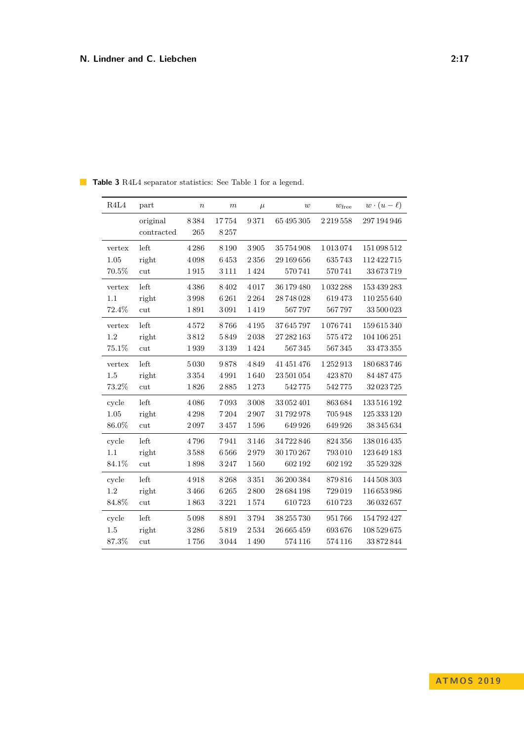| R4L4   | part       | $\boldsymbol{n}$ | $\boldsymbol{m}$ | $\mu$   | w          | $w_{\rm free}$ | $w \cdot (u - \ell)$ |
|--------|------------|------------------|------------------|---------|------------|----------------|----------------------|
|        | original   | 8384             | 17754            | 9371    | 65 495 305 | 2219558        | 297 194 946          |
|        | contracted | 265              | 8257             |         |            |                |                      |
| vertex | left       | 4286             | 8190             | 3905    | 35754908   | 1013074        | 151098512            |
| 1.05   | right      | 4098             | 6453             | 2356    | 29 169 656 | 635743         | 112 422 715          |
| 70.5%  | cut        | 1915             | 3 1 1 1          | 1424    | 570741     | 570741         | 33673719             |
| vertex | left       | 4386             | 8402             | 4017    | 36 179 480 | 1032288        | 153 439 283          |
| 1.1    | right      | 3998             | 6261             | 2264    | 28748028   | 619473         | 110 255 640          |
| 72.4%  | cut        | 1891             | 3091             | 1419    | 567797     | 567797         | 33 500 023           |
| vertex | left       | 4572             | 8766             | 4 1 9 5 | 37645797   | 1076741        | 159615340            |
| 1.2    | right      | 3812             | 5849             | 2038    | 27 282 163 | 575472         | 104 106 251          |
| 75.1%  | cut        | 1939             | 3139             | 1424    | $567\,345$ | 567345         | 33 473 355           |
| vertex | left       | 5030             | 9878             | 4849    | 41 451 476 | 1252913        | 180683746            |
| 1.5    | right      | 3354             | 4991             | 1640    | 23 501 054 | 423870         | 84 487 475           |
| 73.2%  | cut        | 1826             | 2885             | 1273    | 542775     | 542775         | 32023725             |
| cycle  | left       | 4086             | 7093             | 3008    | 33052401   | 863684         | 133 516 192          |
| 1.05   | right      | 4298             | 7204             | 2907    | 31792978   | 705948         | 125 333 120          |
| 86.0%  | cut        | 2097             | 3457             | 1596    | 649926     | 649926         | 38 345 634           |
| cycle  | left       | 4796             | 7941             | 3146    | 34722846   | 824356         | 138016435            |
| 1.1    | right      | 3588             | 6566             | 2979    | 30 170 267 | 793010         | 123649183            |
| 84.1%  | cut        | 1898             | 3247             | 1560    | 602192     | 602192         | 35 529 328           |
| cycle  | left       | 4918             | 8268             | 3351    | 36 200 384 | 879816         | 144 508 303          |
| 1.2    | right      | 3466             | 6265             | 2800    | 28 684 198 | 729019         | 116 653 986          |
| 84.8%  | cut        | 1863             | 3221             | 1574    | 610723     | 610723         | 36 032 657           |
| cycle  | left       | 5098             | 8891             | 3794    | 38 255 730 | 951766         | 154792427            |
| 1.5    | right      | 3286             | 5819             | 2534    | 26 665 459 | 693676         | 108 529 675          |
| 87.3%  | cut        | 1756             | 3044             | 1490    | 574 116    | 574 116        | 33872844             |

<span id="page-16-0"></span>**Table 3** R4L4 separator statistics: See Table [1](#page-14-0) for a legend.